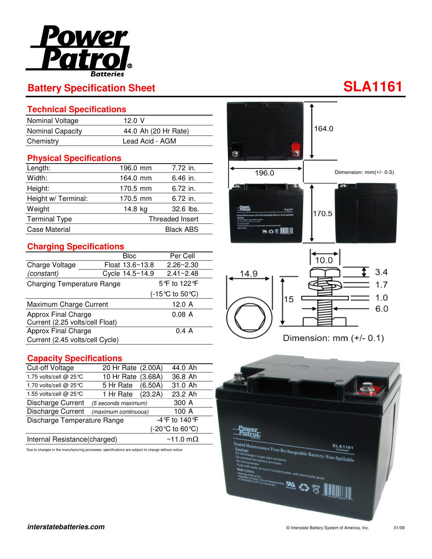

### **Technical Specifications**

| Nominal Voltage         | 12.0 V               |
|-------------------------|----------------------|
| <b>Nominal Capacity</b> | 44.0 Ah (20 Hr Rate) |
| Chemistry               | Lead Acid - AGM      |

### **Physical Specifications**

| Length:              | 196.0 mm         | 7.72 in.   |  |
|----------------------|------------------|------------|--|
| Width:               | 164.0 mm         | 6.46 in.   |  |
| Height:              | 170.5 mm         | 6.72 in.   |  |
| Height w/ Terminal:  | 170.5 mm         | $6.72$ in. |  |
| Weight               | 14.8 kg          | 32.6 lbs.  |  |
| <b>Terminal Type</b> | Threaded Insert  |            |  |
| Case Material        | <b>Black ABS</b> |            |  |

# **Charging Specifications**

|                                                        |  | <b>Bloc</b>     | Per Cell      |  |
|--------------------------------------------------------|--|-----------------|---------------|--|
| Charge Voltage                                         |  | Float 13.6~13.8 | $2.26 - 2.30$ |  |
| (constant)                                             |  | Cycle 14.5~14.9 | $2.41 - 2.48$ |  |
| <b>Charging Temperature Range</b>                      |  | 5° fo 122° F    |               |  |
|                                                        |  |                 | (-15℃ to 50℃) |  |
| Maximum Charge Current                                 |  |                 | 12.0A         |  |
| Approx Final Charge<br>Current (2.25 volts/cell Float) |  |                 | 0.08A         |  |
| Approx Final Charge                                    |  |                 | 0.4 A         |  |
| Current (2.45 volts/cell Cycle)                        |  |                 |               |  |

## **Capacity Specifications**

| Cut-off Voltage              | 20 Hr Rate (2.00A)   | 44.0 Ah                                  |  |
|------------------------------|----------------------|------------------------------------------|--|
| 1.75 volts/cell @ 25℃        | 10 Hr Rate (3.68A)   | 36.8 Ah                                  |  |
| 1.70 volts/cell @ 25 °C      | 5 Hr Rate (6.50A)    | 31.0 Ah                                  |  |
| 1.55 volts/cell @ 25 °C      | 1 Hr Rate (23.2A)    | 23.2 Ah                                  |  |
| Discharge Current            | (5 seconds maximum)  | 300 A                                    |  |
| <b>Discharge Current</b>     | (maximum continuous) | 100 A                                    |  |
| Discharge Temperature Range  |                      | -4 °F to 140 °F                          |  |
|                              |                      | $(-20^{\circ}C \text{ to } 60^{\circ}C)$ |  |
| Internal Resistance(charged) |                      | $~\sim$ 11.0 m $\Omega$                  |  |

Due to changes in the manufacturing processes, specifications are subject to change without notice



 $10.0$  $3.4$ 14.9  $1.7$  $1.0$ 15  $6.0$ 

※の8 |||||||

Dimension: mm (+/- 0.1)